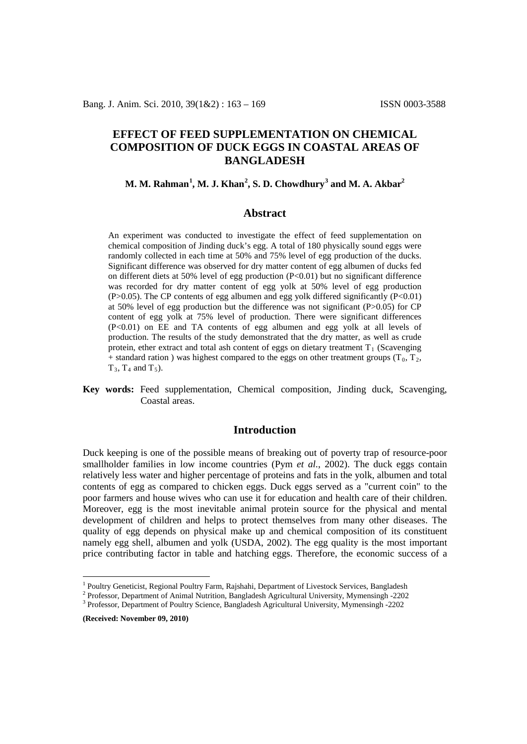# **EFFECT OF FEED SUPPLEMENTATION ON CHEMICAL COMPOSITION OF DUCK EGGS IN COASTAL AREAS OF BANGLADESH**

## **M. M. Rahman[1](#page-0-0) , M. J. Khan[2](#page-0-1) , S. D. Chowdhury[3](#page-0-2) and M. A. Akbar 2**

### **Abstract**

An experiment was conducted to investigate the effect of feed supplementation on chemical composition of Jinding duck's egg. A total of 180 physically sound eggs were randomly collected in each time at 50% and 75% level of egg production of the ducks. Significant difference was observed for dry matter content of egg albumen of ducks fed on different diets at 50% level of egg production (P<0.01) but no significant difference was recorded for dry matter content of egg yolk at 50% level of egg production  $(P>0.05)$ . The CP contents of egg albumen and egg yolk differed significantly  $(P<0.01)$ at 50% level of egg production but the difference was not significant (P>0.05) for CP content of egg yolk at 75% level of production. There were significant differences (P<0.01) on EE and TA contents of egg albumen and egg yolk at all levels of production. The results of the study demonstrated that the dry matter, as well as crude protein, ether extract and total ash content of eggs on dietary treatment  $T_1$  (Scavenging + standard ration ) was highest compared to the eggs on other treatment groups ( $T_0$ ,  $T_2$ ,  $T_3$ ,  $T_4$  and  $T_5$ ).

**Key words:** Feed supplementation, Chemical composition, Jinding duck, Scavenging, Coastal areas.

## **Introduction**

Duck keeping is one of the possible means of breaking out of poverty trap of resource-poor smallholder families in low income countries (Pym *et al.*, 2002). The duck eggs contain relatively less water and higher percentage of proteins and fats in the yolk, albumen and total contents of egg as compared to chicken eggs. Duck eggs served as a "current coin" to the poor farmers and house wives who can use it for education and health care of their children. Moreover, egg is the most inevitable animal protein source for the physical and mental development of children and helps to protect themselves from many other diseases. The quality of egg depends on physical make up and chemical composition of its constituent namely egg shell, albumen and yolk (USDA, 2002). The egg quality is the most important price contributing factor in table and hatching eggs. Therefore, the economic success of a

**(Received: November 09, 2010)**

<span id="page-0-0"></span><sup>&</sup>lt;sup>1</sup> Poultry Geneticist, Regional Poultry Farm, Rajshahi, Department of Livestock Services, Bangladesh  $^{2}$  Professor, Department of Animal Nutrition, Bangladesh Agricultural University, Mymensingh -2202

<span id="page-0-2"></span><span id="page-0-1"></span><sup>&</sup>lt;sup>3</sup> Professor, Department of Poultry Science, Bangladesh Agricultural University, Mymensingh -2202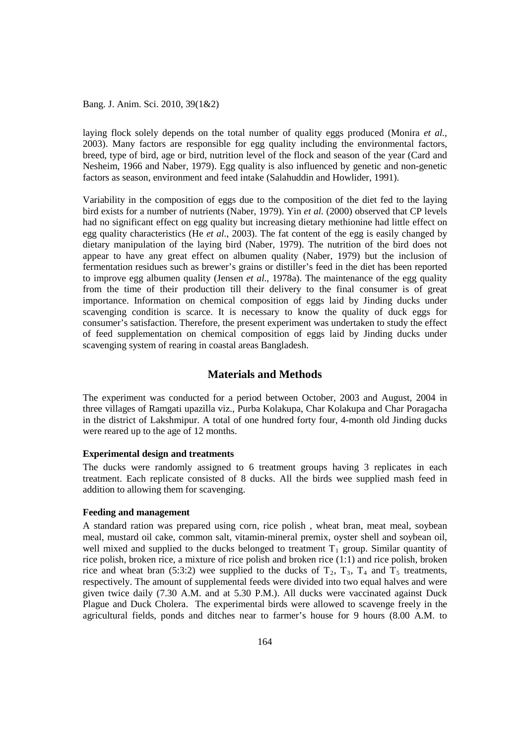Bang. J. Anim. Sci. 2010, 39(1&2)

laying flock solely depends on the total number of quality eggs produced (Monira *et al.*, 2003). Many factors are responsible for egg quality including the environmental factors, breed, type of bird, age or bird, nutrition level of the flock and season of the year (Card and Nesheim, 1966 and Naber, 1979). Egg quality is also influenced by genetic and non-genetic factors as season, environment and feed intake (Salahuddin and Howlider, 1991).

Variability in the composition of eggs due to the composition of the diet fed to the laying bird exists for a number of nutrients (Naber, 1979). Yin *et al.* (2000) observed that CP levels had no significant effect on egg quality but increasing dietary methionine had little effect on egg quality characteristics (He *et al.*, 2003). The fat content of the egg is easily changed by dietary manipulation of the laying bird (Naber, 1979). The nutrition of the bird does not appear to have any great effect on albumen quality (Naber, 1979) but the inclusion of fermentation residues such as brewer's grains or distiller's feed in the diet has been reported to improve egg albumen quality (Jensen *et al.*, 1978a). The maintenance of the egg quality from the time of their production till their delivery to the final consumer is of great importance. Information on chemical composition of eggs laid by Jinding ducks under scavenging condition is scarce. It is necessary to know the quality of duck eggs for consumer's satisfaction. Therefore, the present experiment was undertaken to study the effect of feed supplementation on chemical composition of eggs laid by Jinding ducks under scavenging system of rearing in coastal areas Bangladesh.

### **Materials and Methods**

The experiment was conducted for a period between October, 2003 and August, 2004 in three villages of Ramgati upazilla viz., Purba Kolakupa, Char Kolakupa and Char Poragacha in the district of Lakshmipur. A total of one hundred forty four, 4-month old Jinding ducks were reared up to the age of 12 months.

#### **Experimental design and treatments**

The ducks were randomly assigned to 6 treatment groups having 3 replicates in each treatment. Each replicate consisted of 8 ducks. All the birds wee supplied mash feed in addition to allowing them for scavenging.

#### **Feeding and management**

A standard ration was prepared using corn, rice polish , wheat bran, meat meal, soybean meal, mustard oil cake, common salt, vitamin-mineral premix, oyster shell and soybean oil, well mixed and supplied to the ducks belonged to treatment  $T_1$  group. Similar quantity of rice polish, broken rice, a mixture of rice polish and broken rice (1:1) and rice polish, broken rice and wheat bran (5:3:2) wee supplied to the ducks of  $T_2$ ,  $T_3$ ,  $T_4$  and  $T_5$  treatments, respectively. The amount of supplemental feeds were divided into two equal halves and were given twice daily (7.30 A.M. and at 5.30 P.M.). All ducks were vaccinated against Duck Plague and Duck Cholera. The experimental birds were allowed to scavenge freely in the agricultural fields, ponds and ditches near to farmer's house for 9 hours (8.00 A.M. to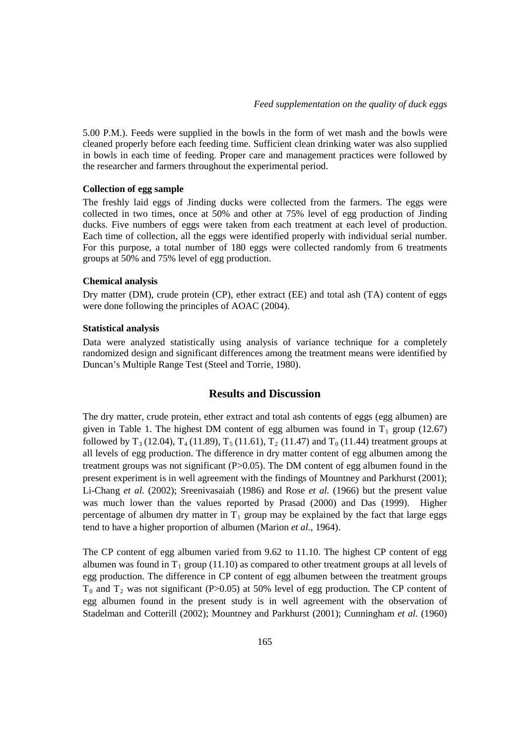5.00 P.M.). Feeds were supplied in the bowls in the form of wet mash and the bowls were cleaned properly before each feeding time. Sufficient clean drinking water was also supplied in bowls in each time of feeding. Proper care and management practices were followed by the researcher and farmers throughout the experimental period.

### **Collection of egg sample**

The freshly laid eggs of Jinding ducks were collected from the farmers. The eggs were collected in two times, once at 50% and other at 75% level of egg production of Jinding ducks. Five numbers of eggs were taken from each treatment at each level of production. Each time of collection, all the eggs were identified properly with individual serial number. For this purpose, a total number of 180 eggs were collected randomly from 6 treatments groups at 50% and 75% level of egg production.

#### **Chemical analysis**

Dry matter (DM), crude protein (CP), ether extract (EE) and total ash (TA) content of eggs were done following the principles of AOAC (2004).

#### **Statistical analysis**

Data were analyzed statistically using analysis of variance technique for a completely randomized design and significant differences among the treatment means were identified by Duncan's Multiple Range Test (Steel and Torrie, 1980).

## **Results and Discussion**

The dry matter, crude protein, ether extract and total ash contents of eggs (egg albumen) are given in Table 1. The highest DM content of egg albumen was found in  $T_1$  group (12.67) followed by  $T_3$  (12.04),  $T_4$  (11.89),  $T_5$  (11.61),  $T_2$  (11.47) and  $T_0$  (11.44) treatment groups at all levels of egg production. The difference in dry matter content of egg albumen among the treatment groups was not significant (P>0.05). The DM content of egg albumen found in the present experiment is in well agreement with the findings of Mountney and Parkhurst (2001); Li-Chang *et al.* (2002); Sreenivasaiah (1986) and Rose *et al.* (1966) but the present value was much lower than the values reported by Prasad (2000) and Das (1999). Higher percentage of albumen dry matter in  $T_1$  group may be explained by the fact that large eggs tend to have a higher proportion of albumen (Marion *et al.*, 1964).

The CP content of egg albumen varied from 9.62 to 11.10. The highest CP content of egg albumen was found in  $T_1$  group (11.10) as compared to other treatment groups at all levels of egg production. The difference in CP content of egg albumen between the treatment groups  $T_0$  and  $T_2$  was not significant (P>0.05) at 50% level of egg production. The CP content of egg albumen found in the present study is in well agreement with the observation of Stadelman and Cotterill (2002); Mountney and Parkhurst (2001); Cunningham *et al.* (1960)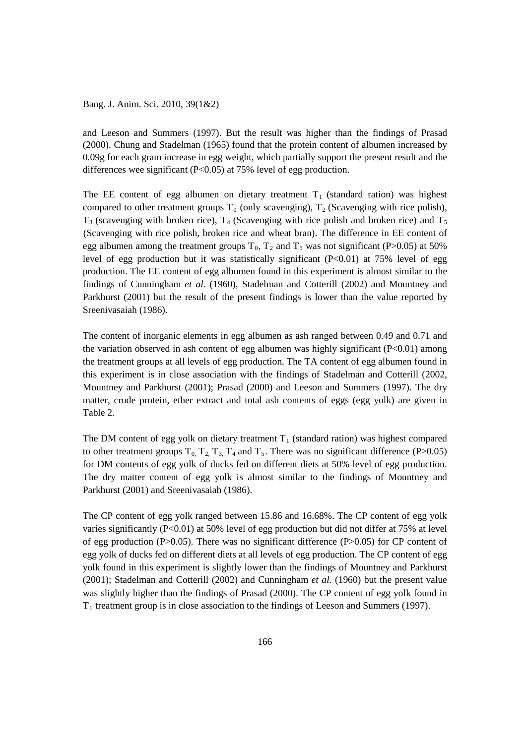Bang. J. Anim. Sci. 2010, 39(1&2)

and Leeson and Summers (1997). But the result was higher than the findings of Prasad (2000). Chung and Stadelman (1965) found that the protein content of albumen increased by 0.09g for each gram increase in egg weight, which partially support the present result and the differences wee significant (P<0.05) at 75% level of egg production.

The EE content of egg albumen on dietary treatment  $T_1$  (standard ration) was highest compared to other treatment groups  $T_0$  (only scavenging),  $T_2$  (Scavenging with rice polish),  $T_3$  (scavenging with broken rice),  $T_4$  (Scavenging with rice polish and broken rice) and  $T_5$ (Scavenging with rice polish, broken rice and wheat bran). The difference in EE content of egg albumen among the treatment groups  $T_0$ ,  $T_2$  and  $T_5$  was not significant (P>0.05) at 50% level of egg production but it was statistically significant  $(P<0.01)$  at 75% level of egg production. The EE content of egg albumen found in this experiment is almost similar to the findings of Cunningham *et al.* (1960), Stadelman and Cotterill (2002) and Mountney and Parkhurst (2001) but the result of the present findings is lower than the value reported by Sreenivasaiah (1986).

The content of inorganic elements in egg albumen as ash ranged between 0.49 and 0.71 and the variation observed in ash content of egg albumen was highly significant  $(P<0.01)$  among the treatment groups at all levels of egg production. The TA content of egg albumen found in this experiment is in close association with the findings of Stadelman and Cotterill (2002, Mountney and Parkhurst (2001); Prasad (2000) and Leeson and Summers (1997). The dry matter, crude protein, ether extract and total ash contents of eggs (egg yolk) are given in Table 2.

The DM content of egg yolk on dietary treatment  $T_1$  (standard ration) was highest compared to other treatment groups  $T_0$ ,  $T_2$ ,  $T_3$ ,  $T_4$  and  $T_5$ . There was no significant difference (P>0.05) for DM contents of egg yolk of ducks fed on different diets at 50% level of egg production. The dry matter content of egg yolk is almost similar to the findings of Mountney and Parkhurst (2001) and Sreenivasaiah (1986).

The CP content of egg yolk ranged between 15.86 and 16.68%. The CP content of egg yolk varies significantly (P<0.01) at 50% level of egg production but did not differ at 75% at level of egg production (P>0.05). There was no significant difference (P>0.05) for CP content of egg yolk of ducks fed on different diets at all levels of egg production. The CP content of egg yolk found in this experiment is slightly lower than the findings of Mountney and Parkhurst (2001); Stadelman and Cotterill (2002) and Cunningham *et al.* (1960) but the present value was slightly higher than the findings of Prasad (2000). The CP content of egg yolk found in  $T_1$  treatment group is in close association to the findings of Leeson and Summers (1997).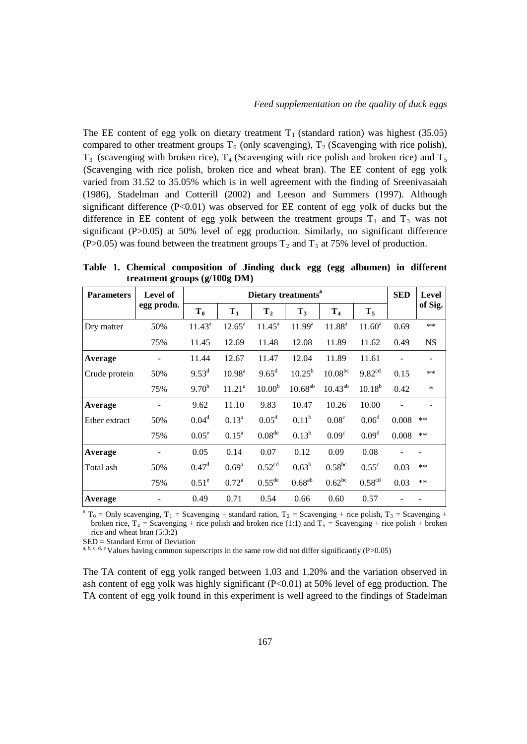The EE content of egg yolk on dietary treatment  $T_1$  (standard ration) was highest (35.05) compared to other treatment groups  $T_0$  (only scavenging),  $T_2$  (Scavenging with rice polish),  $T_3$  (scavenging with broken rice),  $T_4$  (Scavenging with rice polish and broken rice) and  $T_5$ (Scavenging with rice polish, broken rice and wheat bran). The EE content of egg yolk varied from 31.52 to 35.05% which is in well agreement with the finding of Sreenivasaiah (1986), Stadelman and Cotterill (2002) and Leeson and Summers (1997). Although significant difference  $(P<0.01)$  was observed for EE content of egg yolk of ducks but the difference in EE content of egg yolk between the treatment groups  $T_1$  and  $T_3$  was not significant (P>0.05) at 50% level of egg production. Similarly, no significant difference (P>0.05) was found between the treatment groups  $T_2$  and  $T_5$  at 75% level of production.

**Table 1. Chemical composition of Jinding duck egg (egg albumen) in different treatment groups (g/100g DM)**

| <b>Parameters</b> | <b>Level of</b> | Dietary treatments $#$ |                    |                    |              |                   |                    | <b>SED</b> | <b>Level</b> |
|-------------------|-----------------|------------------------|--------------------|--------------------|--------------|-------------------|--------------------|------------|--------------|
|                   | egg prodn.      | T <sub>0</sub>         | $T_1$              | T <sub>2</sub>     | $T_3$        | T <sub>4</sub>    | $T_5$              |            | of Sig.      |
| Dry matter        | 50%             | $11.43^a$              | $12.65^{\rm a}$    | $11.45^{\circ}$    | $11.99^a$    | $11.88^{a}$       | $11.60^a$          | 0.69       | $**$         |
|                   | 75%             | 11.45                  | 12.69              | 11.48              | 12.08        | 11.89             | 11.62              | 0.49       | <b>NS</b>    |
| Average           |                 | 11.44                  | 12.67              | 11.47              | 12.04        | 11.89             | 11.61              |            |              |
| Crude protein     | 50%             | $9.53^d$               | $10.98^{\rm a}$    | $9.65^{\rm d}$     | $10.25^{b}$  | $10.08^{bc}$      | 9.82 <sup>cd</sup> | 0.15       | $**$         |
|                   | 75%             | $9.70^{b}$             | 11.21 <sup>a</sup> | 10.00 <sup>b</sup> | $10.68^{ab}$ | $10.43^{ab}$      | $10.18^{b}$        | 0.42       | $\ast$       |
| Average           |                 | 9.62                   | 11.10              | 9.83               | 10.47        | 10.26             | 10.00              |            |              |
| Ether extract     | 50%             | $0.04^d$               | $0.13^{a}$         | 0.05 <sup>d</sup>  | $0.11^{b}$   | 0.08 <sup>c</sup> | 0.06 <sup>d</sup>  | 0.008      | **           |
|                   | 75%             | $0.05^e$               | $0.15^{\text{a}}$  | 0.08 <sup>de</sup> | $0.13^{b}$   | 0.09 <sup>c</sup> | 0.09 <sup>d</sup>  | 0.008      | $***$        |
| Average           |                 | 0.05                   | 0.14               | 0.07               | 0.12         | 0.09              | 0.08               |            |              |
| Total ash         | 50%             | 0.47 <sup>d</sup>      | $0.69^{a}$         | 0.52 <sup>cd</sup> | $0.63^b$     | $0.58^{bc}$       | $0.55^{\circ}$     | 0.03       | **           |
|                   | 75%             | $0.51^\circ$           | $0.72^a$           | $0.55^{\text{de}}$ | $0.68^{ab}$  | $0.62^{bc}$       | 0.58 <sup>cd</sup> | 0.03       | **           |
| Average           |                 | 0.49                   | 0.71               | 0.54               | 0.66         | 0.60              | 0.57               |            |              |

 $*T_0 =$  Only scavenging,  $T_1$  = Scavenging + standard ration,  $T_2$  = Scavenging + rice polish,  $T_3$  = Scavenging + broken rice,  $T_4$  = Scavenging + rice polish and broken rice (1:1) and  $T_5$  = Scavenging + rice polish + broken rice and wheat bran (5:3:2)

SED = Standard Error of Deviation

a, b, c, d, e Values having common superscripts in the same row did not differ significantly (P>0.05)

The TA content of egg yolk ranged between 1.03 and 1.20% and the variation observed in ash content of egg yolk was highly significant (P<0.01) at 50% level of egg production. The TA content of egg yolk found in this experiment is well agreed to the findings of Stadelman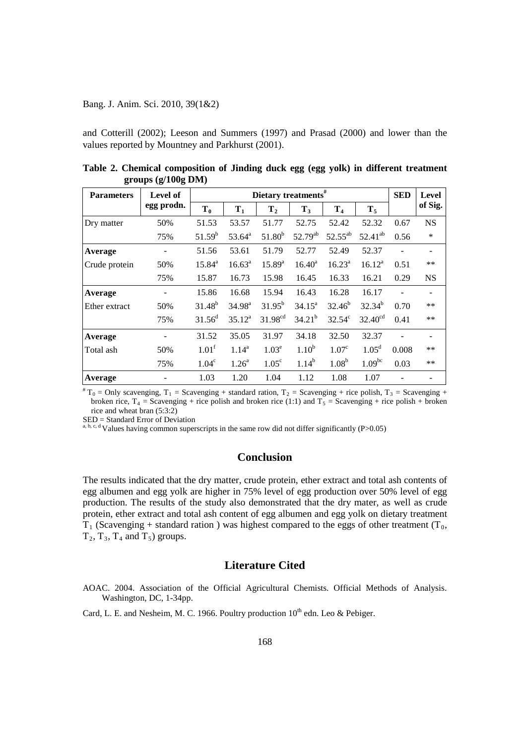### Bang. J. Anim. Sci. 2010, 39(1&2)

and Cotterill (2002); Leeson and Summers (1997) and Prasad (2000) and lower than the values reported by Mountney and Parkhurst (2001).

| <b>Parameters</b> | <b>Level of</b><br>egg prodn. | Dietary treatments $#$ |                |                     |                   |                   |                     |       | Level                    |
|-------------------|-------------------------------|------------------------|----------------|---------------------|-------------------|-------------------|---------------------|-------|--------------------------|
|                   |                               | $T_0$                  | $T_1$          | T <sub>2</sub>      | $T_3$             | T <sub>4</sub>    | $T_5$               |       | of Sig.                  |
| Dry matter        | 50%                           | 51.53                  | 53.57          | 51.77               | 52.75             | 52.42             | 52.32               | 0.67  | <b>NS</b>                |
|                   | 75%                           | $51.59^b$              | $53.64^a$      | $51.80^{b}$         | $52.79^{ab}$      | $52.55^{ab}$      | $52.41^{ab}$        | 0.56  | $\ast$                   |
| Average           |                               | 51.56                  | 53.61          | 51.79               | 52.77             | 52.49             | 52.37               |       | $\overline{\phantom{a}}$ |
| Crude protein     | 50%                           | $15.84^{a}$            | $16.63^a$      | $15.89^{a}$         | $16.40^a$         | $16.23^a$         | $16.12^a$           | 0.51  | $**$                     |
|                   | 75%                           | 15.87                  | 16.73          | 15.98               | 16.45             | 16.33             | 16.21               | 0.29  | <b>NS</b>                |
| Average           |                               | 15.86                  | 16.68          | 15.94               | 16.43             | 16.28             | 16.17               |       | $\overline{\phantom{a}}$ |
| Ether extract     | 50%                           | $31.48^{b}$            | $34.98^{a}$    | $31.95^{b}$         | $34.15^a$         | $32.46^{b}$       | $32.34^{b}$         | 0.70  | $***$                    |
|                   | 75%                           | $31.56^{\rm d}$        | $35.12^a$      | 31.98 <sup>cd</sup> | $34.21^{b}$       | $32.54^{\circ}$   | 32.40 <sup>cd</sup> | 0.41  | $***$                    |
| Average           |                               | 31.52                  | 35.05          | 31.97               | 34.18             | 32.50             | 32.37               |       |                          |
| Total ash         | 50%                           | 1.01 <sup>f</sup>      | $1.14^{a}$     | 1.03 <sup>e</sup>   | 1.10 <sup>b</sup> | 1.07 <sup>c</sup> | 1.05 <sup>d</sup>   | 0.008 | $***$                    |
|                   | 75%                           | 1.04 <sup>c</sup>      | $1.26^{\circ}$ | 1.05 <sup>c</sup>   | $1.14^{b}$        | 1.08 <sup>b</sup> | 1.09 <sup>bc</sup>  | 0.03  | $**$                     |
| Average           |                               | 1.03                   | 1.20           | 1.04                | 1.12              | 1.08              | 1.07                |       |                          |

**Table 2. Chemical composition of Jinding duck egg (egg yolk) in different treatment groups (g/100g DM)**

 ${}^{\#}T_0 =$  Only scavenging,  $T_1 =$  Scavenging + standard ration,  $T_2 =$  Scavenging + rice polish,  $T_3 =$  Scavenging + broken rice,  $T_4$  = Scavenging + rice polish and broken rice (1:1) and  $T_5$  = Scavenging + rice polish + broken rice and wheat bran  $(5:3:2)$ <br>SED = Standard Error of Deviation

a, b, c, d Values having common superscripts in the same row did not differ significantly (P>0.05)

## **Conclusion**

The results indicated that the dry matter, crude protein, ether extract and total ash contents of egg albumen and egg yolk are higher in 75% level of egg production over 50% level of egg production. The results of the study also demonstrated that the dry mater, as well as crude protein, ether extract and total ash content of egg albumen and egg yolk on dietary treatment  $T_1$  (Scavenging + standard ration) was highest compared to the eggs of other treatment (T<sub>0</sub>,  $T_2, T_3, T_4$  and  $T_5$ ) groups.

## **Literature Cited**

AOAC. 2004. Association of the Official Agricultural Chemists. Official Methods of Analysis. Washington, DC, 1-34pp.

Card, L. E. and Nesheim, M. C. 1966. Poultry production  $10^{th}$  edn. Leo & Pebiger.